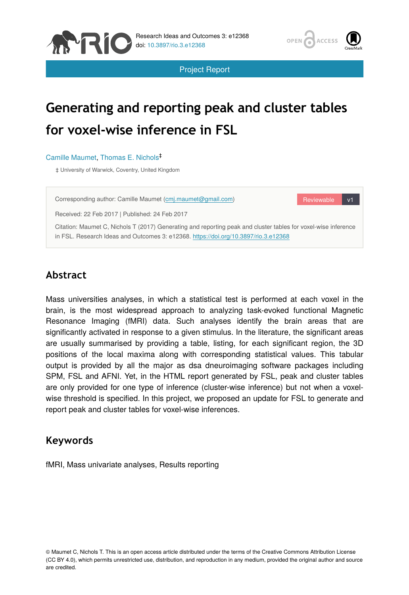



Project Report

# **Generating and reporting peak and cluster tables for voxel-wise inference in FSL**

Camille Maumet, Thomas E. Nichols ‡

‡ University of Warwick, Coventry, United Kingdom

Corresponding author: Camille Maumet ([cmj.maumet@gmail.com\)](mailto:cmj.maumet@gmail.com)

Reviewable v1

Received: 22 Feb 2017 | Published: 24 Feb 2017

Citation: Maumet C, Nichols T (2017) Generating and reporting peak and cluster tables for voxel-wise inference in FSL. Research Ideas and Outcomes 3: e12368.<https://doi.org/10.3897/rio.3.e12368>

## **Abstract**

Mass universities analyses, in which a statistical test is performed at each voxel in the brain, is the most widespread approach to analyzing task-evoked functional Magnetic Resonance Imaging (fMRI) data. Such analyses identify the brain areas that are significantly activated in response to a given stimulus. In the literature, the significant areas are usually summarised by providing a table, listing, for each significant region, the 3D positions of the local maxima along with corresponding statistical values. This tabular output is provided by all the major as dsa dneuroimaging software packages including SPM, FSL and AFNI. Yet, in the HTML report generated by FSL, peak and cluster tables are only provided for one type of inference (cluster-wise inference) but not when a voxelwise threshold is specified. In this project, we proposed an update for FSL to generate and report peak and cluster tables for voxel-wise inferences.

## **Keywords**

fMRI, Mass univariate analyses, Results reporting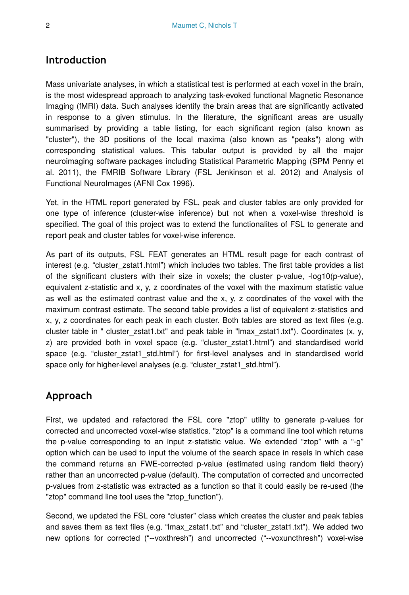#### **Introduction**

Mass univariate analyses, in which a statistical test is performed at each voxel in the brain, is the most widespread approach to analyzing task-evoked functional Magnetic Resonance Imaging (fMRI) data. Such analyses identify the brain areas that are significantly activated in response to a given stimulus. In the literature, the significant areas are usually summarised by providing a table listing, for each significant region (also known as "cluster"), the 3D positions of the local maxima (also known as "peaks") along with corresponding statistical values. This tabular output is provided by all the major neuroimaging software packages including Statistical Parametric Mapping (SPM Penny et al. 2011), the FMRIB Software Library (FSL Jenkinson et al. 2012) and Analysis of Functional NeuroImages (AFNI Cox 1996).

Yet, in the HTML report generated by FSL, peak and cluster tables are only provided for one type of inference (cluster-wise inference) but not when a voxel-wise threshold is specified. The goal of this project was to extend the functionalites of FSL to generate and report peak and cluster tables for voxel-wise inference.

As part of its outputs, FSL FEAT generates an HTML result page for each contrast of interest (e.g. "cluster zstat1.html") which includes two tables. The first table provides a list of the significant clusters with their size in voxels; the cluster p-value, -log10(p-value), equivalent z-statistic and x, y, z coordinates of the voxel with the maximum statistic value as well as the estimated contrast value and the x, y, z coordinates of the voxel with the maximum contrast estimate. The second table provides a list of equivalent z-statistics and x, y, z coordinates for each peak in each cluster. Both tables are stored as text files (e.g. cluster table in " cluster zstat1.txt" and peak table in "lmax zstat1.txt"). Coordinates  $(x, y, z)$ z) are provided both in voxel space (e.g. "cluster\_zstat1.html") and standardised world space (e.g. "cluster zstat1 std.html") for first-level analyses and in standardised world space only for higher-level analyses (e.g. "cluster zstat1 std.html").

## **Approach**

First, we updated and refactored the FSL core "ztop" utility to generate p-values for corrected and uncorrected voxel-wise statistics. "ztop" is a command line tool which returns the p-value corresponding to an input z-statistic value. We extended "ztop" with a "-g" option which can be used to input the volume of the search space in resels in which case the command returns an FWE-corrected p-value (estimated using random field theory) rather than an uncorrected p-value (default). The computation of corrected and uncorrected p-values from z-statistic was extracted as a function so that it could easily be re-used (the "ztop" command line tool uses the "ztop\_function").

Second, we updated the FSL core "cluster" class which creates the cluster and peak tables and saves them as text files (e.g. "lmax\_zstat1.txt" and "cluster\_zstat1.txt"). We added two new options for corrected ("--voxthresh") and uncorrected ("--voxuncthresh") voxel-wise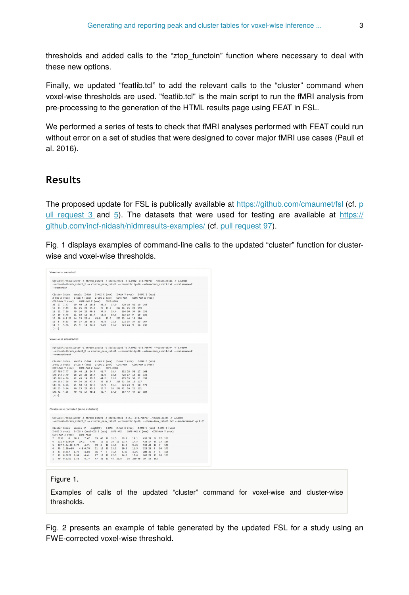thresholds and added calls to the "ztop\_functoin" function where necessary to deal with these new options.

Finally, we updated "featlib.tcl" to add the relevant calls to the "cluster" command when voxel-wise thresholds are used. "featlib.tcl" is the main script to run the fMRI analysis from pre-processing to the generation of the HTML results page using FEAT in FSL.

We performed a series of tests to check that fMRI analyses performed with FEAT could run without error on a set of studies that were designed to cover major fMRI use cases (Pauli et al. 2016).

### **Results**

The proposed update for FSL is publically available at<https://github.com/cmaumet/fsl> (cf. [p](https://github.com/cmaumet/fsl/pull/3) ull request  $3$  and  $5$ ). The datasets that were used for testing are available at [https://](https://github.com/incf-nidash/nidmresults-examples/) [github.com/incf-nidash/nidmresults-examples/](https://github.com/incf-nidash/nidmresults-examples/) (cf. [pull request 97\)](https://github.com/incf-nidash/nidmresults-examples/pull/97).

Fig. 1 displays examples of command-line calls to the updated "cluster" function for clusterwise and voxel-wise thresholds.

| \${FSLDIR}/bin/cluster -i thresh zstat1 -c stats/cope1 -t 3.0902 -d 0.700797 --volume=38344 -r 6.60989<br>--othresh-thresh_zstat1_2 -o cluster_mask_zstat1 --connectivity=26 --olmax=lmax_zstat1.txt --scalarname=Z<br>-- voxthresh<br>Cluster Index<br>Voxels Z-MAX<br>Z-MAX X (vox) Z-MAX Y (vox) Z-MAX Z (vox)<br>$Z-COG X (vox)$<br>Z-COG Y (vox)<br>Z-COG Z (vox) COPE-MAX<br>COPE-MAX X (vox)<br>COPE-MAX Y (vox)<br>COPE-MAX Z (vox)<br>COPE-MEAN<br>28 27 7.47<br>19 48 18 18.8<br>49.3<br>17.9<br>428 18 42 19 243<br>25 19.9<br>19 13 7.49<br>16 25 28 15.9<br>222 16 25<br>28<br>159<br>49 34 20 48.8<br>18 11 7.26<br>34.5<br>19.4<br>194 58<br>34<br>28 153<br>17 18 6.76<br>21 10 11 21.7<br>10.6<br>323 23 9<br>226<br>10.2<br>10<br>16  10  6.1  23  44  13  23.4  43.8  13.6<br>235 23 44 13 186<br>15 8 6.03<br>36 37 23 35.9<br>36.8<br>22.5<br>222 35 37 23 167<br>5.86<br>25 9 14 24.2<br>9.49<br>13.7<br>323 24 9<br>14 236<br>14 6<br>[]<br>Voxel-wise uncorrected<br>\${FSLDIR}/bin/cluster -i thresh zstat1 -c stats/cope1 -t 3.0902 -d 0.700797 --volume=38344 -r 6.60989<br>--othresh-thresh zstat1 2 -o cluster mask zstat1 --connectivity=26 --olmax=lmax zstat1.txt --scalarname=Z<br>-- voxuncthresh<br>Cluster Index<br>Voxels Z-MAX<br>Z-MAX X (vox) Z-MAX Y (vox) Z-MAX Z (vox)<br>$Z-COG$ $X$ $(yox)$<br>$Z-COG Y (vox)$<br>Z-COG Z (vox) COPE-MAX<br>COPE-MAX X (vox)<br>COPE-MAX Y (vox)<br>COPE-MAX Z (vox)<br>COPE-MEAN<br>147 795 7.47<br>19 48 18 24.7<br>41.7<br>18.4<br>632 28 56 17 168<br>146 243 7.49<br>16 25 28 16.4<br>21.6<br>18.8<br>428 17 19<br>23 135<br>145 161 4.56<br>42  43  14  39.3<br>44.2<br>15.1<br>479 33 36 11 199<br>35 19.7<br>144 152 7.26<br>49 34 28 47.7<br>218 52 38 16 117<br>143 66 6.76<br>11.3<br>21 10 11 22.3 10.9<br>323 23 9<br>18 171<br>142 65 5.84<br>46 23 28 45.3 28.7<br>20 242 41 16 21 131<br>141 42 4.95<br>49 46 17 48.1 45.7 17.9<br>357 47 47 17 184<br>[] |
|--------------------------------------------------------------------------------------------------------------------------------------------------------------------------------------------------------------------------------------------------------------------------------------------------------------------------------------------------------------------------------------------------------------------------------------------------------------------------------------------------------------------------------------------------------------------------------------------------------------------------------------------------------------------------------------------------------------------------------------------------------------------------------------------------------------------------------------------------------------------------------------------------------------------------------------------------------------------------------------------------------------------------------------------------------------------------------------------------------------------------------------------------------------------------------------------------------------------------------------------------------------------------------------------------------------------------------------------------------------------------------------------------------------------------------------------------------------------------------------------------------------------------------------------------------------------------------------------------------------------------------------------------------------------------------------------------------------------------------------------------------------------------------------------------------------------------------------------------------------------------------------------------------------------------------------------------------|
|                                                                                                                                                                                                                                                                                                                                                                                                                                                                                                                                                                                                                                                                                                                                                                                                                                                                                                                                                                                                                                                                                                                                                                                                                                                                                                                                                                                                                                                                                                                                                                                                                                                                                                                                                                                                                                                                                                                                                        |
|                                                                                                                                                                                                                                                                                                                                                                                                                                                                                                                                                                                                                                                                                                                                                                                                                                                                                                                                                                                                                                                                                                                                                                                                                                                                                                                                                                                                                                                                                                                                                                                                                                                                                                                                                                                                                                                                                                                                                        |
|                                                                                                                                                                                                                                                                                                                                                                                                                                                                                                                                                                                                                                                                                                                                                                                                                                                                                                                                                                                                                                                                                                                                                                                                                                                                                                                                                                                                                                                                                                                                                                                                                                                                                                                                                                                                                                                                                                                                                        |
|                                                                                                                                                                                                                                                                                                                                                                                                                                                                                                                                                                                                                                                                                                                                                                                                                                                                                                                                                                                                                                                                                                                                                                                                                                                                                                                                                                                                                                                                                                                                                                                                                                                                                                                                                                                                                                                                                                                                                        |
|                                                                                                                                                                                                                                                                                                                                                                                                                                                                                                                                                                                                                                                                                                                                                                                                                                                                                                                                                                                                                                                                                                                                                                                                                                                                                                                                                                                                                                                                                                                                                                                                                                                                                                                                                                                                                                                                                                                                                        |
|                                                                                                                                                                                                                                                                                                                                                                                                                                                                                                                                                                                                                                                                                                                                                                                                                                                                                                                                                                                                                                                                                                                                                                                                                                                                                                                                                                                                                                                                                                                                                                                                                                                                                                                                                                                                                                                                                                                                                        |
|                                                                                                                                                                                                                                                                                                                                                                                                                                                                                                                                                                                                                                                                                                                                                                                                                                                                                                                                                                                                                                                                                                                                                                                                                                                                                                                                                                                                                                                                                                                                                                                                                                                                                                                                                                                                                                                                                                                                                        |
|                                                                                                                                                                                                                                                                                                                                                                                                                                                                                                                                                                                                                                                                                                                                                                                                                                                                                                                                                                                                                                                                                                                                                                                                                                                                                                                                                                                                                                                                                                                                                                                                                                                                                                                                                                                                                                                                                                                                                        |
|                                                                                                                                                                                                                                                                                                                                                                                                                                                                                                                                                                                                                                                                                                                                                                                                                                                                                                                                                                                                                                                                                                                                                                                                                                                                                                                                                                                                                                                                                                                                                                                                                                                                                                                                                                                                                                                                                                                                                        |
|                                                                                                                                                                                                                                                                                                                                                                                                                                                                                                                                                                                                                                                                                                                                                                                                                                                                                                                                                                                                                                                                                                                                                                                                                                                                                                                                                                                                                                                                                                                                                                                                                                                                                                                                                                                                                                                                                                                                                        |
|                                                                                                                                                                                                                                                                                                                                                                                                                                                                                                                                                                                                                                                                                                                                                                                                                                                                                                                                                                                                                                                                                                                                                                                                                                                                                                                                                                                                                                                                                                                                                                                                                                                                                                                                                                                                                                                                                                                                                        |
|                                                                                                                                                                                                                                                                                                                                                                                                                                                                                                                                                                                                                                                                                                                                                                                                                                                                                                                                                                                                                                                                                                                                                                                                                                                                                                                                                                                                                                                                                                                                                                                                                                                                                                                                                                                                                                                                                                                                                        |
|                                                                                                                                                                                                                                                                                                                                                                                                                                                                                                                                                                                                                                                                                                                                                                                                                                                                                                                                                                                                                                                                                                                                                                                                                                                                                                                                                                                                                                                                                                                                                                                                                                                                                                                                                                                                                                                                                                                                                        |
|                                                                                                                                                                                                                                                                                                                                                                                                                                                                                                                                                                                                                                                                                                                                                                                                                                                                                                                                                                                                                                                                                                                                                                                                                                                                                                                                                                                                                                                                                                                                                                                                                                                                                                                                                                                                                                                                                                                                                        |
|                                                                                                                                                                                                                                                                                                                                                                                                                                                                                                                                                                                                                                                                                                                                                                                                                                                                                                                                                                                                                                                                                                                                                                                                                                                                                                                                                                                                                                                                                                                                                                                                                                                                                                                                                                                                                                                                                                                                                        |
|                                                                                                                                                                                                                                                                                                                                                                                                                                                                                                                                                                                                                                                                                                                                                                                                                                                                                                                                                                                                                                                                                                                                                                                                                                                                                                                                                                                                                                                                                                                                                                                                                                                                                                                                                                                                                                                                                                                                                        |
|                                                                                                                                                                                                                                                                                                                                                                                                                                                                                                                                                                                                                                                                                                                                                                                                                                                                                                                                                                                                                                                                                                                                                                                                                                                                                                                                                                                                                                                                                                                                                                                                                                                                                                                                                                                                                                                                                                                                                        |
|                                                                                                                                                                                                                                                                                                                                                                                                                                                                                                                                                                                                                                                                                                                                                                                                                                                                                                                                                                                                                                                                                                                                                                                                                                                                                                                                                                                                                                                                                                                                                                                                                                                                                                                                                                                                                                                                                                                                                        |
|                                                                                                                                                                                                                                                                                                                                                                                                                                                                                                                                                                                                                                                                                                                                                                                                                                                                                                                                                                                                                                                                                                                                                                                                                                                                                                                                                                                                                                                                                                                                                                                                                                                                                                                                                                                                                                                                                                                                                        |
|                                                                                                                                                                                                                                                                                                                                                                                                                                                                                                                                                                                                                                                                                                                                                                                                                                                                                                                                                                                                                                                                                                                                                                                                                                                                                                                                                                                                                                                                                                                                                                                                                                                                                                                                                                                                                                                                                                                                                        |
| Cluster-wise corrected (same as before)                                                                                                                                                                                                                                                                                                                                                                                                                                                                                                                                                                                                                                                                                                                                                                                                                                                                                                                                                                                                                                                                                                                                                                                                                                                                                                                                                                                                                                                                                                                                                                                                                                                                                                                                                                                                                                                                                                                |
| \${FSLDIR}/bin/cluster -i thresh zstat1 -c stats/cope1 -t 2.3 -d 0.700797 --volume=38344 -r 6.60989                                                                                                                                                                                                                                                                                                                                                                                                                                                                                                                                                                                                                                                                                                                                                                                                                                                                                                                                                                                                                                                                                                                                                                                                                                                                                                                                                                                                                                                                                                                                                                                                                                                                                                                                                                                                                                                    |
| --othresh=thresh_zstat1_2 -o cluster_mask_zstat1 --connectivity=26 --olmax=lmax_zstat1.txt --scalarname=Z -p 0.05                                                                                                                                                                                                                                                                                                                                                                                                                                                                                                                                                                                                                                                                                                                                                                                                                                                                                                                                                                                                                                                                                                                                                                                                                                                                                                                                                                                                                                                                                                                                                                                                                                                                                                                                                                                                                                      |
| Cluster Index Voxels P -log10(P) Z-MAX Z-MAX X (vox) Z-MAX Y (vox) Z-MAX Z (vox)                                                                                                                                                                                                                                                                                                                                                                                                                                                                                                                                                                                                                                                                                                                                                                                                                                                                                                                                                                                                                                                                                                                                                                                                                                                                                                                                                                                                                                                                                                                                                                                                                                                                                                                                                                                                                                                                       |
| Z-COG Y (voxZ-COG Z (vox) COPE-MAX COPE-MAX X (vox) COPE-MAX Y (vox)<br>$Z-COG X (vox)$<br>COPE-MAX Z (yox)<br>COPE - MEAN                                                                                                                                                                                                                                                                                                                                                                                                                                                                                                                                                                                                                                                                                                                                                                                                                                                                                                                                                                                                                                                                                                                                                                                                                                                                                                                                                                                                                                                                                                                                                                                                                                                                                                                                                                                                                             |
| $\overline{z}$<br>ø<br>68.9<br>7.47<br>19 40 18 32.5<br>39.9<br>18.1<br>632 28 56 17 139<br>3138                                                                                                                                                                                                                                                                                                                                                                                                                                                                                                                                                                                                                                                                                                                                                                                                                                                                                                                                                                                                                                                                                                                                                                                                                                                                                                                                                                                                                                                                                                                                                                                                                                                                                                                                                                                                                                                       |
| 521 6.02e-20<br>19.2<br>7.49<br>16 25 28 16 22.4<br>17.5<br>428 17 19 23 110<br>r.                                                                                                                                                                                                                                                                                                                                                                                                                                                                                                                                                                                                                                                                                                                                                                                                                                                                                                                                                                                                                                                                                                                                                                                                                                                                                                                                                                                                                                                                                                                                                                                                                                                                                                                                                                                                                                                                     |
| 167 1.7e-08 7.77<br>4.71<br>39 8<br>12 43.9<br>14.9<br>533 43 16 7<br>s,<br>9.45<br>146                                                                                                                                                                                                                                                                                                                                                                                                                                                                                                                                                                                                                                                                                                                                                                                                                                                                                                                                                                                                                                                                                                                                                                                                                                                                                                                                                                                                                                                                                                                                                                                                                                                                                                                                                                                                                                                                |
| 99 1.58e-85<br>4.8 6.76<br>21 18 11 23.1<br>10.5<br>11.5<br>143<br>٨<br>323 23 9<br>10                                                                                                                                                                                                                                                                                                                                                                                                                                                                                                                                                                                                                                                                                                                                                                                                                                                                                                                                                                                                                                                                                                                                                                                                                                                                                                                                                                                                                                                                                                                                                                                                                                                                                                                                                                                                                                                                 |
| 43 0.017<br>1.77<br>4.93<br>36 <sub>7</sub><br>35.5<br>8.35<br>3.75<br>200 31 8<br>128<br>$\overline{3}$<br>6<br>A<br>$\overline{2}$<br>41 0.0227 1.64<br>4.41<br>27 18 17 27.9<br>17.6<br>14.6<br>263 28 13 18 131                                                                                                                                                                                                                                                                                                                                                                                                                                                                                                                                                                                                                                                                                                                                                                                                                                                                                                                                                                                                                                                                                                                                                                                                                                                                                                                                                                                                                                                                                                                                                                                                                                                                                                                                    |
| 4.77<br>$\mathbf{1}$<br>40 0.0263 1.58<br>47 21 15 48 20.8 14 200 48 19 14 102                                                                                                                                                                                                                                                                                                                                                                                                                                                                                                                                                                                                                                                                                                                                                                                                                                                                                                                                                                                                                                                                                                                                                                                                                                                                                                                                                                                                                                                                                                                                                                                                                                                                                                                                                                                                                                                                         |

Figure 1.

Examples of calls of the updated "cluster" command for voxel-wise and cluster-wise thresholds.

Fig. 2 presents an example of table generated by the updated FSL for a study using an FWE-corrected voxel-wise threshold.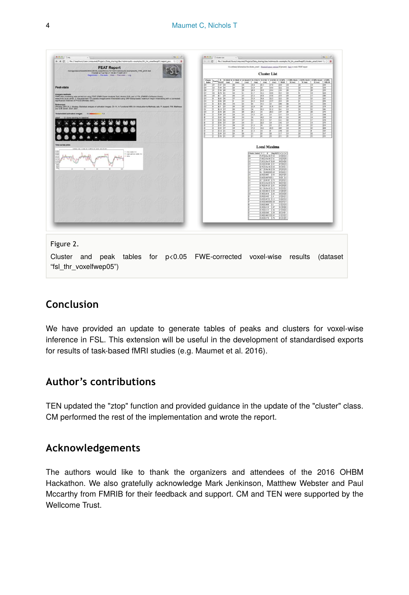

## **Conclusion**

We have provided an update to generate tables of peaks and clusters for voxel-wise inference in FSL. This extension will be useful in the development of standardised exports for results of task-based fMRI studies (e.g. Maumet et al. 2016).

#### **Author's contributions**

TEN updated the "ztop" function and provided guidance in the update of the "cluster" class. CM performed the rest of the implementation and wrote the report.

#### **Acknowledgements**

The authors would like to thank the organizers and attendees of the 2016 OHBM Hackathon. We also gratefully acknowledge Mark Jenkinson, Matthew Webster and Paul Mccarthy from FMRIB for their feedback and support. CM and TEN were supported by the Wellcome Trust.